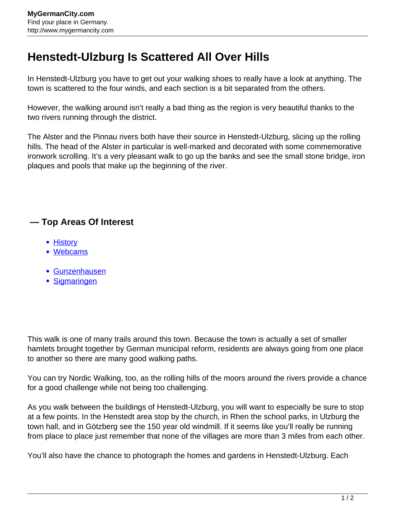## **Henstedt-Ulzburg Is Scattered All Over Hills**

In Henstedt-Ulzburg you have to get out your walking shoes to really have a look at anything. The town is scattered to the four winds, and each section is a bit separated from the others.

However, the walking around isn't really a bad thing as the region is very beautiful thanks to the two rivers running through the district.

The Alster and the Pinnau rivers both have their source in Henstedt-Ulzburg, slicing up the rolling hills. The head of the Alster in particular is well-marked and decorated with some commemorative ironwork scrolling. It's a very pleasant walk to go up the banks and see the small stone bridge, iron plaques and pools that make up the beginning of the river.

## **— Top Areas Of Interest**

- [History](http://www.mygermancity.com/leipzig-history)
- [Webcams](http://www.mygermancity.com/neustadt-holstein-webcams)
- [Gunzenhausen](http://www.mygermancity.com/gunzenhausen)
- [Sigmaringen](http://www.mygermancity.com/sigmaringen)

This walk is one of many trails around this town. Because the town is actually a set of smaller hamlets brought together by German municipal reform, residents are always going from one place to another so there are many good walking paths.

You can try Nordic Walking, too, as the rolling hills of the moors around the rivers provide a chance for a good challenge while not being too challenging.

As you walk between the buildings of Henstedt-Ulzburg, you will want to especially be sure to stop at a few points. In the Henstedt area stop by the church, in Rhen the school parks, in Ulzburg the town hall, and in Götzberg see the 150 year old windmill. If it seems like you'll really be running from place to place just remember that none of the villages are more than 3 miles from each other.

You'll also have the chance to photograph the homes and gardens in Henstedt-Ulzburg. Each